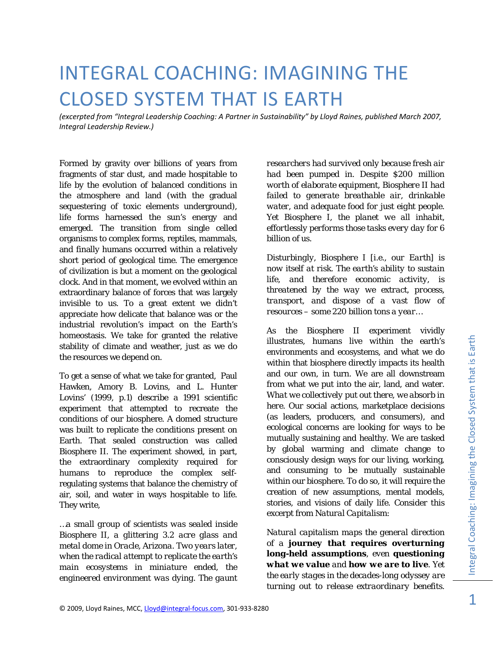## INTEGRAL COACHING: IMAGINING THE CLOSED SYSTEM THAT IS EARTH

*(excerpted from "Integral Leadership Coaching: A Partner in Sustainability" by Lloyd Raines, published March 2007, Integral Leadership Review.)* 

Formed by gravity over billions of years from fragments of star dust, and made hospitable to life by the evolution of balanced conditions in the atmosphere and land (with the gradual sequestering of toxic elements underground), life forms harnessed the sun's energy and emerged. The transition from single celled organisms to complex forms, reptiles, mammals, and finally humans occurred within a relatively short period of geological time. The emergence of civilization is but a moment on the geological clock. And in that moment, we evolved within an extraordinary balance of forces that was largely invisible to us. To a great extent we didn't appreciate how delicate that balance was or the industrial revolution's impact on the Earth's homeostasis. We take for granted the relative stability of climate and weather, just as we do the resources we depend on.

To get a sense of what we take for granted, Paul Hawken, Amory B. Lovins, and L. Hunter Lovins' (1999, p.1) describe a 1991 scientific experiment that attempted to recreate the conditions of our biosphere. A domed structure was built to replicate the conditions present on Earth. That sealed construction was called Biosphere II. The experiment showed, in part, the extraordinary complexity required for humans to reproduce the complex selfregulating systems that balance the chemistry of air, soil, and water in ways hospitable to life. They write,

*…a small group of scientists was sealed inside Biosphere II, a glittering 3.2 acre glass and metal dome in Oracle, Arizona. Two years later, when the radical attempt to replicate the earth's main ecosystems in miniature ended, the engineered environment was dying. The gaunt*  *researchers had survived only because fresh air had been pumped in. Despite \$200 million worth of elaborate equipment, Biosphere II had failed to generate breathable air, drinkable water, and adequate food for just eight people. Yet Biosphere I, the planet we all inhabit, effortlessly performs those tasks every day for 6 billion of us.* 

*Disturbingly, Biosphere I [i.e., our Earth] is now itself at risk. The earth's ability to sustain life, and therefore economic activity, is threatened by the way we extract, process, transport, and dispose of a vast flow of resources – some 220 billion tons a year…*

As the Biosphere II experiment vividly illustrates, humans live *within* the earth's environments and ecosystems, and what we do within that biosphere directly impacts its health and our own, in turn. We are all downstream from what we put into the air, land, and water. *What we collectively put out there, we absorb in here.* Our social actions, marketplace decisions (as leaders, producers, and consumers), and ecological concerns are looking for ways to be mutually sustaining and healthy. We are tasked by global warming and climate change to consciously design ways for our living, working, and consuming to be mutually sustainable within our biosphere. To do so, it will require the creation of new assumptions, mental models, stories, and visions of daily life. Consider this excerpt from *Natural Capitalism*:

*Natural capitalism maps the general direction of a journey that requires overturning long-held assumptions, even questioning what we value and how we are to live. Yet the early stages in the decades-long odyssey are turning out to release extraordinary benefits.*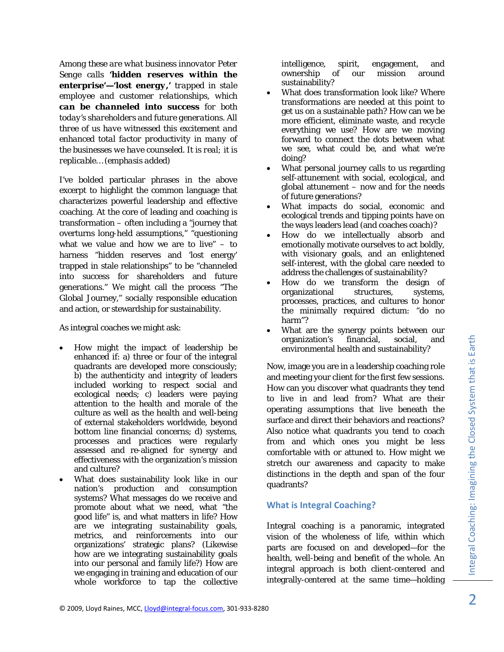*Among these are what business innovator Peter Senge calls 'hidden reserves within the enterprise'—'lost energy,' trapped in stale employee and customer relationships, which can be channeled into success for both today's shareholders and future generations. All three of us have witnessed this excitement and enhanced total factor productivity in many of the businesses we have counseled. It is real; it is replicable… (emphasis added)* 

I've bolded particular phrases in the above excerpt to highlight the common language that characterizes powerful leadership and effective coaching. At the core of leading and coaching is transformation – often including a "journey that overturns long-held assumptions," "questioning what we value and how we are to live"  $-$  to harness "hidden reserves and 'lost energy' trapped in stale relationships" to be "channeled into success for shareholders and future generations." We might call the process "The Global Journey," socially responsible education and action, or stewardship for sustainability.

As integral coaches we might ask:

- How might the impact of leadership be enhanced if: a) three or four of the integral quadrants are developed more consciously; b) the authenticity and integrity of leaders included working to respect social and ecological needs; c) leaders were paying attention to the health and morale of the culture as well as the health and well-being of external stakeholders worldwide, beyond bottom line financial concerns; d) systems, processes and practices were regularly assessed and re-aligned for synergy and effectiveness with the organization's mission and culture?
- What does sustainability look like in our nation's production and consumption systems? What messages do we receive and promote about what we need, what "the good life" is, and what matters in life? How are we integrating sustainability goals, metrics, and reinforcements into our organizations' strategic plans? (Likewise how are we integrating sustainability goals into our personal and family life?) How are we engaging in training and education of our whole workforce to tap the collective

intelligence, spirit, engagement, and ownership of our mission around sustainability?

- What does transformation look like? Where transformations are needed at this point to get us on a sustainable path? How can we be more efficient, eliminate waste, and recycle everything we use? How are we moving forward to connect the dots between what we see, what could be, and what we're doing?
- What personal journey calls to us regarding self-attunement with social, ecological, and global attunement – now and for the needs of future generations?
- What impacts do social, economic and ecological trends and tipping points have on the ways leaders lead (and coaches coach)?
- How do we intellectually absorb and emotionally motivate ourselves to act boldly, with visionary goals, and an enlightened self-interest, with the global care needed to address the challenges of sustainability?
- How do we transform the design of organizational structures, systems, processes, practices, and cultures to honor the minimally required dictum: "do no harm"?
- What are the synergy points between our organization's financial, social, and environmental health and sustainability?

Now, image you are in a leadership coaching role and meeting your client for the first few sessions. How can you discover what quadrants they tend to live in and lead from? What are their operating assumptions that live beneath the surface and direct their behaviors and reactions? Also notice what quadrants you tend to coach from and which ones you might be less comfortable with or attuned to. How might we stretch our awareness and capacity to make distinctions in the depth and span of the four quadrants?

## **What is Integral Coaching?**

Integral coaching is a panoramic, integrated vision of the wholeness of life, within which parts are focused on and developed—*for the health, well-being and benefit of the whole.* An integral approach is both client-centered and integrally-centered *at the same time*—holding